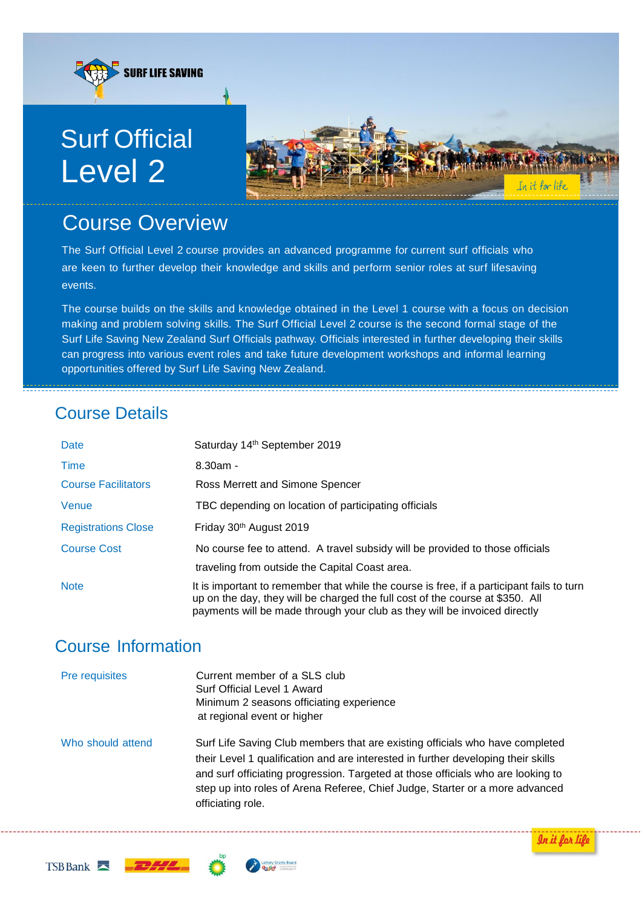

# Course Overview

The Surf Official Level 2 course provides an advanced programme for current surf officials who are keen to further develop their knowledge and skills and perform senior roles at surf lifesaving events.

The course builds on the skills and knowledge obtained in the Level 1 course with a focus on decision making and problem solving skills. The Surf Official Level 2 course is the second formal stage of the Surf Life Saving New Zealand Surf Officials pathway. Officials interested in further developing their skills can progress into various event roles and take future development workshops and informal learning opportunities offered by Surf Life Saving New Zealand.

# Course Details

| Date                       | Saturday 14th September 2019                                                                                                                                                                                                                            |
|----------------------------|---------------------------------------------------------------------------------------------------------------------------------------------------------------------------------------------------------------------------------------------------------|
| Time                       | $8.30$ am -                                                                                                                                                                                                                                             |
| <b>Course Facilitators</b> | Ross Merrett and Simone Spencer                                                                                                                                                                                                                         |
| Venue                      | TBC depending on location of participating officials                                                                                                                                                                                                    |
| <b>Registrations Close</b> | Friday 30th August 2019                                                                                                                                                                                                                                 |
| <b>Course Cost</b>         | No course fee to attend. A travel subsidy will be provided to those officials                                                                                                                                                                           |
|                            | traveling from outside the Capital Coast area.                                                                                                                                                                                                          |
| <b>Note</b>                | It is important to remember that while the course is free, if a participant fails to turn<br>up on the day, they will be charged the full cost of the course at \$350. All<br>payments will be made through your club as they will be invoiced directly |

# Course Information

| Pre requisites    | Current member of a SLS club<br>Surf Official Level 1 Award<br>Minimum 2 seasons officiating experience<br>at regional event or higher                                                                                                                                                                                                                     |
|-------------------|------------------------------------------------------------------------------------------------------------------------------------------------------------------------------------------------------------------------------------------------------------------------------------------------------------------------------------------------------------|
| Who should attend | Surf Life Saving Club members that are existing officials who have completed<br>their Level 1 qualification and are interested in further developing their skills<br>and surf officiating progression. Targeted at those officials who are looking to<br>step up into roles of Arena Referee, Chief Judge, Starter or a more advanced<br>officiating role. |